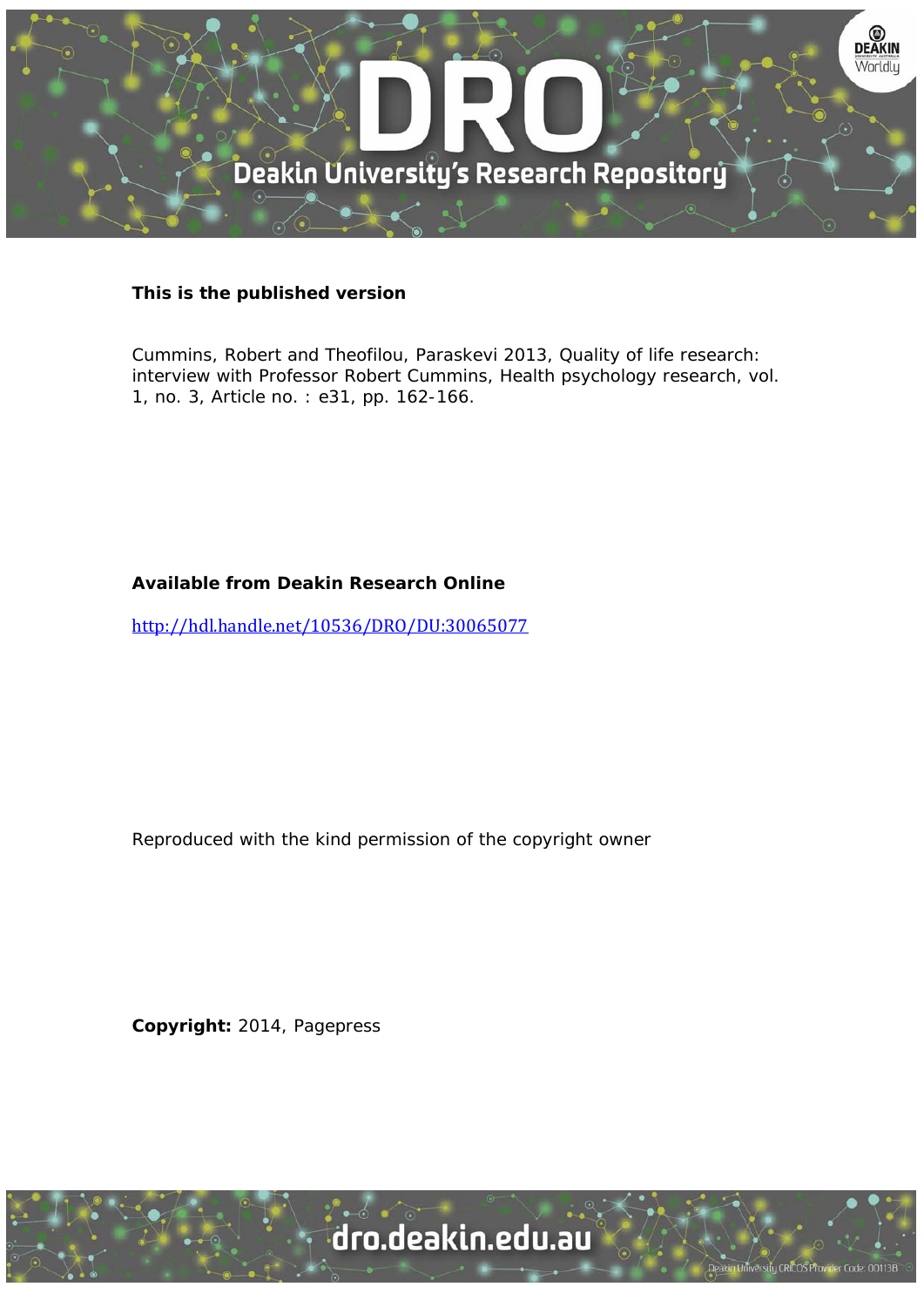

# **This is the published version**

Cummins, Robert and Theofilou, Paraskevi 2013, Quality of life research: interview with Professor Robert Cummins, Health psychology research, vol. 1, no. 3, Article no. : e31, pp. 162-166.

# **Available from Deakin Research Online**

http://hdl.handle.net/10536/DRO/DU:30065077

Reproduced with the kind permission of the copyright owner

**Copyright:** 2014, Pagepress

University CRICOS Provider Code: 00113B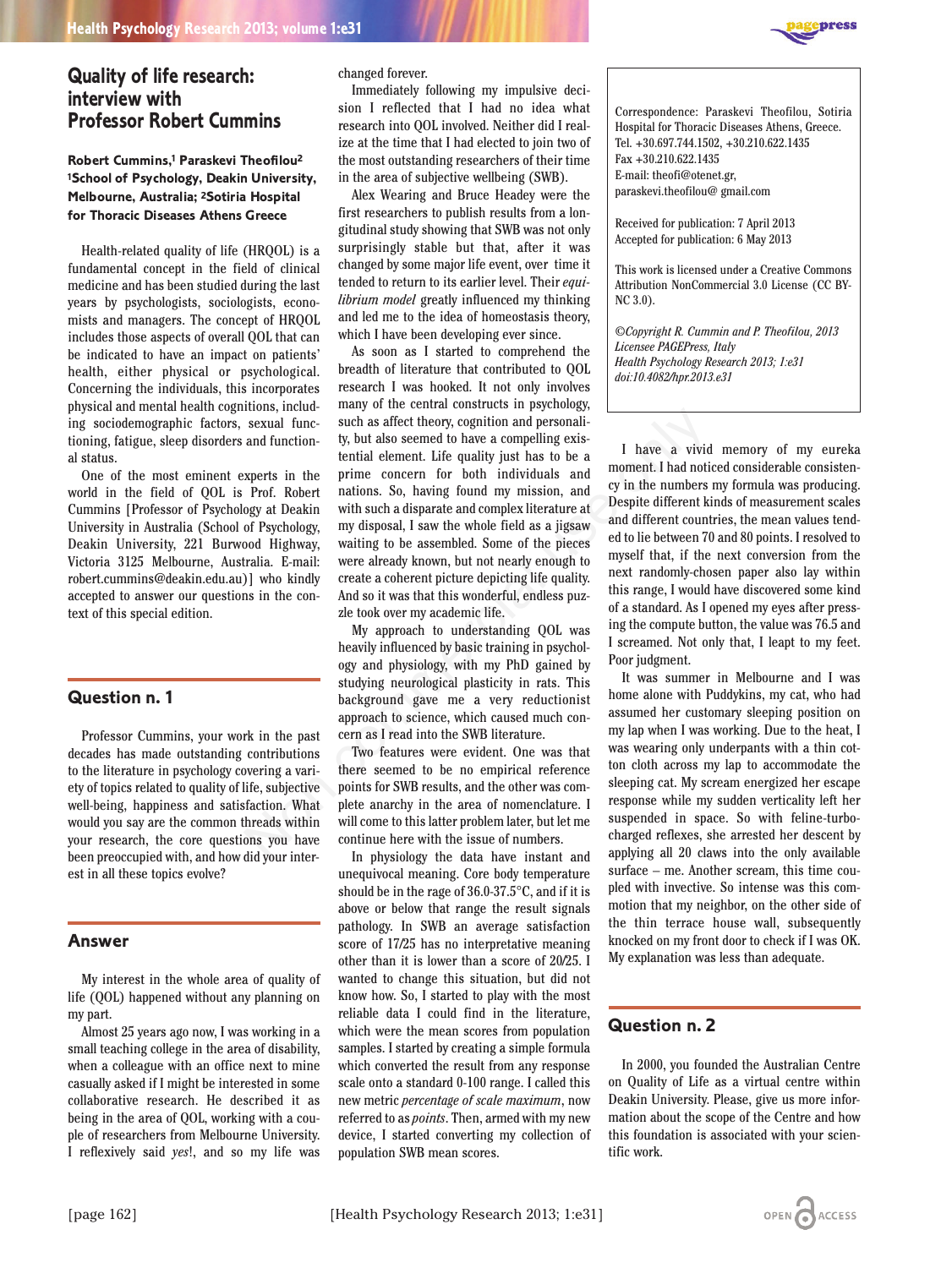

## **Robert Cummins,1 Paraskevi Theofilou2 1School of Psychology, Deakin University, Melbourne, Australia; 2Sotiria Hospital for Thoracic Diseases Athens Greece**

Health-related quality of life (HRQOL) is a fundamental concept in the field of clinical medicine and has been studied during the last years by psychologists, sociologists, economists and managers. The concept of HRQOL includes those aspects of overall QOL that can be indicated to have an impact on patients' health, either physical or psychological. Concerning the individuals, this incorporates physical and mental health cognitions, including sociodemographic factors, sexual functioning, fatigue, sleep disorders and functional status.

One of the most eminent experts in the world in the field of QOL is Prof. Robert Cummins [Professor of Psychology at Deakin University in Australia (School of Psychology, Deakin University, 221 Burwood Highway, Victoria 3125 Melbourne, Australia. E-mail: robert.cummins@deakin.edu.au)] who kindly accepted to answer our questions in the context of this special edition.

## **Question n. 1**

Professor Cummins, your work in the past decades has made outstanding contributions to the literature in psychology covering a variety of topics related to quality of life, subjective well-being, happiness and satisfaction. What would you say are the common threads within your research, the core questions you have been preoccupied with, and how did your interest in all these topics evolve?

#### **Answer**

My interest in the whole area of quality of life (QOL) happened without any planning on my part.

Almost 25 years ago now, I was working in a small teaching college in the area of disability, when a colleague with an office next to mine casually asked if I might be interested in some collaborative research. He described it as being in the area of QOL, working with a couple of researchers from Melbourne University. I reflexively said *yes*!, and so my life was changed forever.

Immediately following my impulsive decision I reflected that I had no idea what research into QOL involved. Neither did I realize at the time that I had elected to join two of the most outstanding researchers of their time in the area of subjective wellbeing (SWB).

Alex Wearing and Bruce Headey were the first researchers to publish results from a longitudinal study showing that SWB was not only surprisingly stable but that, after it was changed by some major life event, over time it tended to return to its earlier level. Their *equilibrium model* greatly influenced my thinking and led me to the idea of homeostasis theory, which I have been developing ever since.

As soon as I started to comprehend the breadth of literature that contributed to QOL research I was hooked. It not only involves many of the central constructs in psychology, such as affect theory, cognition and personality, but also seemed to have a compelling existential element. Life quality just has to be a prime concern for both individuals and nations. So, having found my mission, and with such a disparate and complex literature at my disposal, I saw the whole field as a jigsaw waiting to be assembled. Some of the pieces were already known, but not nearly enough to create a coherent picture depicting life quality. And so it was that this wonderful, endless puzzle took over my academic life. From the many of the control one is the commentation of the many of the parameteristic point of the many of the many of the many of the many of the many of the many of the many of the many of the same of the proof. Robert

My approach to understanding QOL was heavily influenced by basic training in psychology and physiology, with my PhD gained by studying neurological plasticity in rats. This background gave me a very reductionist approach to science, which caused much concern as I read into the SWB literature.

Two features were evident. One was that there seemed to be no empirical reference points for SWB results, and the other was complete anarchy in the area of nomenclature. I will come to this latter problem later, but let me continue here with the issue of numbers.

In physiology the data have instant and unequivocal meaning. Core body temperature should be in the rage of 36.0-37.5°C, and if it is above or below that range the result signals pathology. In SWB an average satisfaction score of 17/25 has no interpretative meaning other than it is lower than a score of 20/25. I wanted to change this situation, but did not know how. So, I started to play with the most reliable data I could find in the literature, which were the mean scores from population samples. I started by creating a simple formula which converted the result from any response scale onto a standard 0-100 range. I called this new metric *percentage of scale maximum*, now referred to as *points*. Then, armed with my new device, I started converting my collection of population SWB mean scores.

Correspondence: Paraskevi Theofilou, Sotiria Hospital for Thoracic Diseases Athens, Greece. Tel. +30.697.744.1502, +30.210.622.1435 Fax +30.210.622.1435 E-mail: theofi@otenet.gr, paraskevi.theofilou@ gmail.com

press

Received for publication: 7 April 2013 Accepted for publication: 6 May 2013

This work is licensed under a Creative Commons Attribution NonCommercial 3.0 License (CC BY-NC 3.0).

*©Copyright R. Cummin and P. Theofilou, 2013 Licensee PAGEPress, Italy Health Psychology Research 2013; 1:e31 doi:10.4082/hpr.2013.e31*

I have a vivid memory of my eureka moment. I had noticed considerable consistency in the numbers my formula was producing. Despite different kinds of measurement scales and different countries, the mean values tended to lie between 70 and 80 points. I resolved to myself that, if the next conversion from the next randomly-chosen paper also lay within this range, I would have discovered some kind of a standard. As I opened my eyes after pressing the compute button, the value was 76.5 and I screamed. Not only that, I leapt to my feet. Poor judgment.

It was summer in Melbourne and I was home alone with Puddykins, my cat, who had assumed her customary sleeping position on my lap when I was working. Due to the heat, I was wearing only underpants with a thin cotton cloth across my lap to accommodate the sleeping cat. My scream energized her escape response while my sudden verticality left her suspended in space. So with feline-turbocharged reflexes, she arrested her descent by applying all 20 claws into the only available surface – me. Another scream, this time coupled with invective. So intense was this commotion that my neighbor, on the other side of the thin terrace house wall, subsequently knocked on my front door to check if I was OK. My explanation was less than adequate.

# **Question n. 2**

In 2000, you founded the Australian Centre on Quality of Life as a virtual centre within Deakin University. Please, give us more information about the scope of the Centre and how this foundation is associated with your scientific work.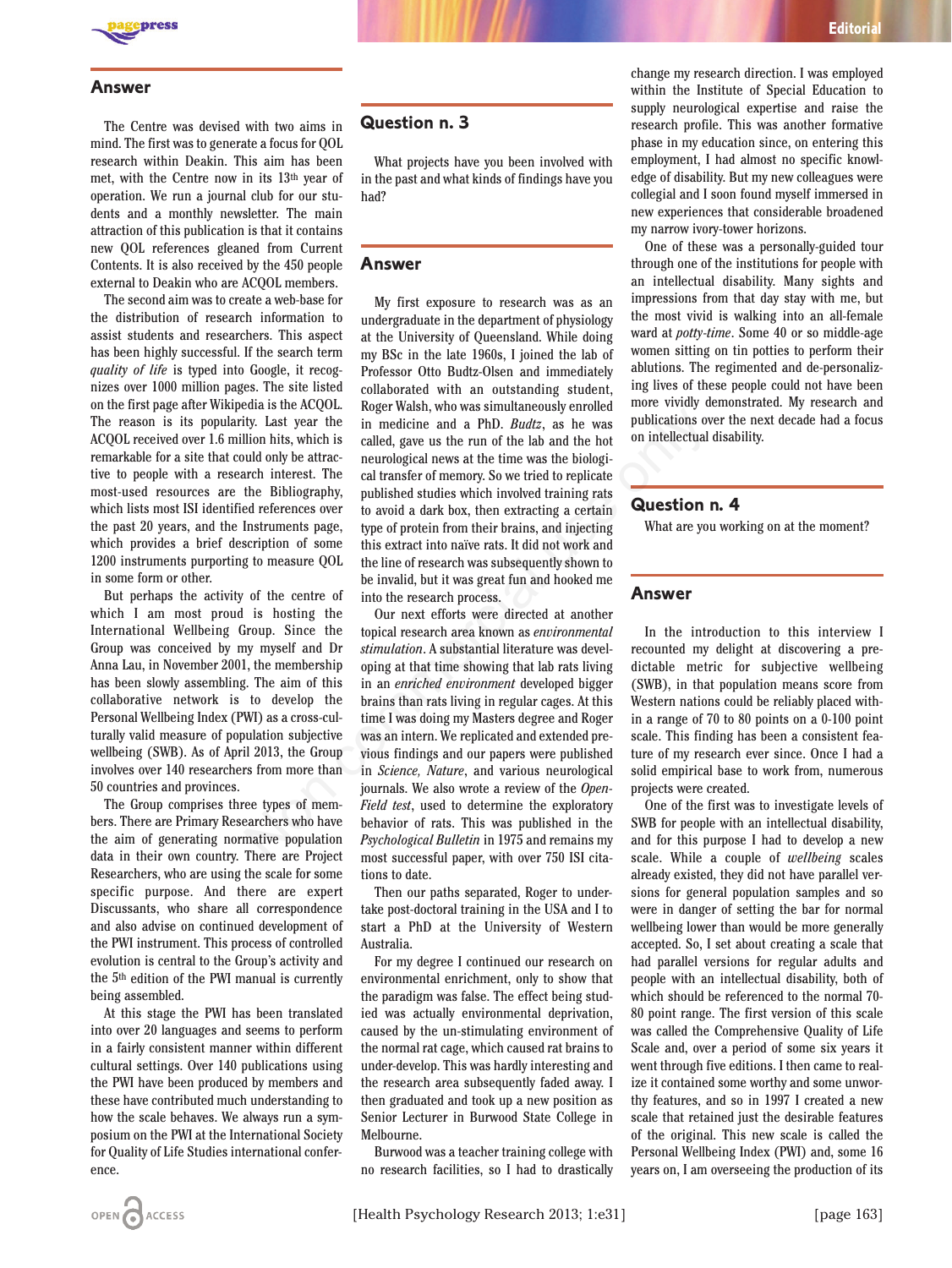

## **Answer**

The Centre was devised with two aims in mind. The first was to generate a focus for QOL research within Deakin. This aim has been met, with the Centre now in its 13th year of operation. We run a journal club for our students and a monthly newsletter. The main attraction of this publication is that it contains new QOL references gleaned from Current Contents. It is also received by the 450 people external to Deakin who are ACQOL members.

The second aim was to create a web-base for the distribution of research information to assist students and researchers. This aspect has been highly successful. If the search term *quality of life* is typed into Google, it recognizes over 1000 million pages. The site listed on the first page after Wikipedia is the ACQOL. The reason is its popularity. Last year the ACQOL received over 1.6 million hits, which is remarkable for a site that could only be attractive to people with a research interest. The most-used resources are the Bibliography, which lists most ISI identified references over the past 20 years, and the Instruments page, which provides a brief description of some 1200 instruments purporting to measure QOL in some form or other.

But perhaps the activity of the centre of which I am most proud is hosting the International Wellbeing Group. Since the Group was conceived by my myself and Dr Anna Lau, in November 2001, the membership has been slowly assembling. The aim of this collaborative network is to develop the Personal Wellbeing Index (PWI) as a cross-culturally valid measure of population subjective wellbeing (SWB). As of April 2013, the Group involves over 140 researchers from more than 50 countries and provinces.

The Group comprises three types of members. There are Primary Researchers who have the aim of generating normative population data in their own country. There are Project Researchers, who are using the scale for some specific purpose. And there are expert Discussants, who share all correspondence and also advise on continued development of the PWI instrument. This process of controlled evolution is central to the Group's activity and the 5th edition of the PWI manual is currently being assembled.

At this stage the PWI has been translated into over 20 languages and seems to perform in a fairly consistent manner within different cultural settings. Over 140 publications using the PWI have been produced by members and these have contributed much understanding to how the scale behaves. We always run a symposium on the PWI at the International Society for Quality of Life Studies international conference.

OPEN CACCESS

# **Question n. 3**

What projects have you been involved with in the past and what kinds of findings have you had?

## **Answer**

My first exposure to research was as an undergraduate in the department of physiology at the University of Queensland. While doing my BSc in the late 1960s, I joined the lab of Professor Otto Budtz-Olsen and immediately collaborated with an outstanding student, Roger Walsh, who was simultaneously enrolled in medicine and a PhD. *Budtz*, as he was called, gave us the run of the lab and the hot neurological news at the time was the biological transfer of memory. So we tried to replicate published studies which involved training rats to avoid a dark box, then extracting a certain type of protein from their brains, and injecting this extract into naïve rats. It did not work and the line of research was subsequently shown to be invalid, but it was great fun and hooked me into the research process.

Our next efforts were directed at another topical research area known as *environmental stimulation*. A substantial literature was developing at that time showing that lab rats living in an *enriched environment* developed bigger brains than rats living in regular cages. At this time I was doing my Masters degree and Roger was an intern. We replicated and extended previous findings and our papers were published in *Science, Nature*, and various neurological journals. We also wrote a review of the *Open-Field test*, used to determine the exploratory behavior of rats. This was published in the *Psychological Bulletin* in 1975 and remains my most successful paper, with over 750 ISI citations to date. Like the control in the membership<br>in medicine and a PhD. *Budta*, as he was publications on<br>the in medicine and a PhD. *Budta*, as he was publications on<br>tion hits, which is called, gave us the run of the lab and the hot

> Then our paths separated, Roger to undertake post-doctoral training in the USA and I to start a PhD at the University of Western Australia.

> For my degree I continued our research on environmental enrichment, only to show that the paradigm was false. The effect being studied was actually environmental deprivation, caused by the un-stimulating environment of the normal rat cage, which caused rat brains to under-develop. This was hardly interesting and the research area subsequently faded away. I then graduated and took up a new position as Senior Lecturer in Burwood State College in Melbourne.

> Burwood was a teacher training college with no research facilities, so I had to drastically

change my research direction. I was employed within the Institute of Special Education to supply neurological expertise and raise the research profile. This was another formative phase in my education since, on entering this employment, I had almost no specific knowledge of disability. But my new colleagues were collegial and I soon found myself immersed in new experiences that considerable broadened my narrow ivory-tower horizons.

One of these was a personally-guided tour through one of the institutions for people with an intellectual disability. Many sights and impressions from that day stay with me, but the most vivid is walking into an all-female ward at *potty-time*. Some 40 or so middle-age women sitting on tin potties to perform their ablutions. The regimented and de-personalizing lives of these people could not have been more vividly demonstrated. My research and publications over the next decade had a focus on intellectual disability.

## **Question n. 4**

What are you working on at the moment?

### **Answer**

In the introduction to this interview I recounted my delight at discovering a predictable metric for subjective wellbeing (SWB), in that population means score from Western nations could be reliably placed within a range of 70 to 80 points on a 0-100 point scale. This finding has been a consistent feature of my research ever since. Once I had a solid empirical base to work from, numerous projects were created.

One of the first was to investigate levels of SWB for people with an intellectual disability, and for this purpose I had to develop a new scale. While a couple of *wellbeing* scales already existed, they did not have parallel versions for general population samples and so were in danger of setting the bar for normal wellbeing lower than would be more generally accepted. So, I set about creating a scale that had parallel versions for regular adults and people with an intellectual disability, both of which should be referenced to the normal 70- 80 point range. The first version of this scale was called the Comprehensive Quality of Life Scale and, over a period of some six years it went through five editions. I then came to realize it contained some worthy and some unworthy features, and so in 1997 I created a new scale that retained just the desirable features of the original. This new scale is called the Personal Wellbeing Index (PWI) and, some 16 years on, I am overseeing the production of its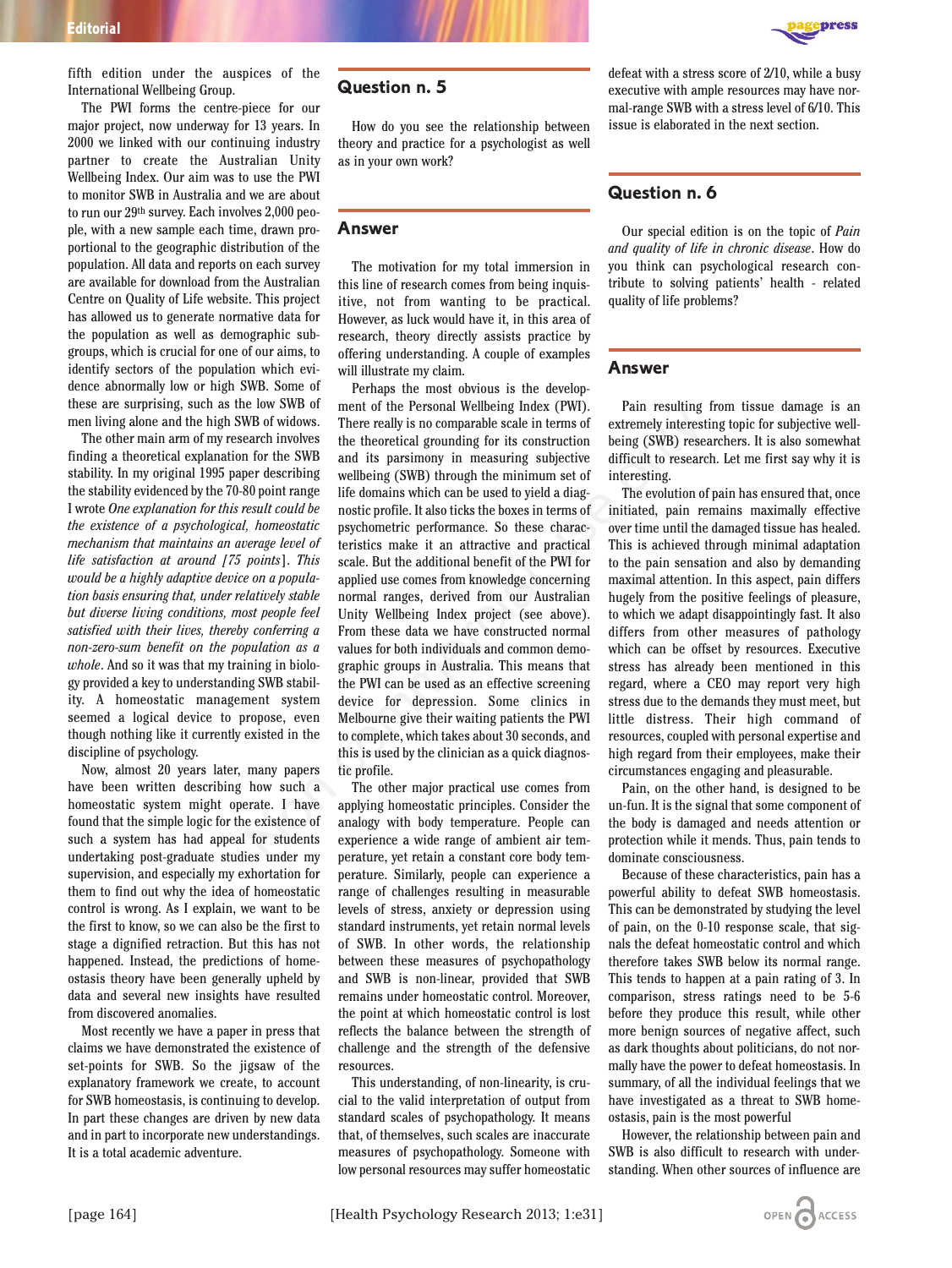

fifth edition under the auspices of the International Wellbeing Group.

The PWI forms the centre-piece for our major project, now underway for 13 years. In 2000 we linked with our continuing industry partner to create the Australian Unity Wellbeing Index. Our aim was to use the PWI to monitor SWB in Australia and we are about to run our 29th survey. Each involves 2,000 people, with a new sample each time, drawn proportional to the geographic distribution of the population. All data and reports on each survey are available for download from the Australian Centre on Quality of Life website. This project has allowed us to generate normative data for the population as well as demographic subgroups, which is crucial for one of our aims, to identify sectors of the population which evidence abnormally low or high SWB. Some of these are surprising, such as the low SWB of men living alone and the high SWB of widows.

The other main arm of my research involves finding a theoretical explanation for the SWB stability. In my original 1995 paper describing the stability evidenced by the 70-80 point range I wrote *One explanation for this result could be the existence of a psychological, homeostatic mechanism that maintains an average level of life satisfaction at around [75 points*]. *This would be a highly adaptive device on a population basis ensuring that, under relatively stable but diverse living conditions, most people feel satisfied with their lives, thereby conferring a non-zero-sum benefit on the population as a whole*. And so it was that my training in biology provided a key to understanding SWB stability. A homeostatic management system seemed a logical device to propose, even though nothing like it currently existed in the discipline of psychology.

Now, almost 20 years later, many papers have been written describing how such a homeostatic system might operate. I have found that the simple logic for the existence of such a system has had appeal for students undertaking post-graduate studies under my supervision, and especially my exhortation for them to find out why the idea of homeostatic control is wrong. As I explain, we want to be the first to know, so we can also be the first to stage a dignified retraction. But this has not happened. Instead, the predictions of homeostasis theory have been generally upheld by data and several new insights have resulted from discovered anomalies.

Most recently we have a paper in press that claims we have demonstrated the existence of set-points for SWB. So the jigsaw of the explanatory framework we create, to account for SWB homeostasis, is continuing to develop. In part these changes are driven by new data and in part to incorporate new understandings. It is a total academic adventure.

## **Question n. 5**

How do you see the relationship between theory and practice for a psychologist as well as in your own work?

#### **Answer**

The motivation for my total immersion in this line of research comes from being inquisitive, not from wanting to be practical. However, as luck would have it, in this area of research, theory directly assists practice by offering understanding. A couple of examples will illustrate my claim.

Perhaps the most obvious is the development of the Personal Wellbeing Index (PWI). There really is no comparable scale in terms of the theoretical grounding for its construction and its parsimony in measuring subjective wellbeing (SWB) through the minimum set of life domains which can be used to yield a diagnostic profile. It also ticks the boxes in terms of psychometric performance. So these characteristics make it an attractive and practical scale. But the additional benefit of the PWI for applied use comes from knowledge concerning normal ranges, derived from our Australian Unity Wellbeing Index project (see above). From these data we have constructed normal values for both individuals and common demographic groups in Australia. This means that the PWI can be used as an effective screening device for depression. Some clinics in Melbourne give their waiting patients the PWI to complete, which takes about 30 seconds, and this is used by the clinician as a quick diagnostic profile. WB of widows. There really is no comparable scale in terms of extremely interesting<br>and in terms of extremely interesting the theoretical grounding for its construction being (SWB) resear<br>per describing wellbeing (SWB) th

The other major practical use comes from applying homeostatic principles. Consider the analogy with body temperature. People can experience a wide range of ambient air temperature, yet retain a constant core body temperature. Similarly, people can experience a range of challenges resulting in measurable levels of stress, anxiety or depression using standard instruments, yet retain normal levels of SWB. In other words, the relationship between these measures of psychopathology and SWB is non-linear, provided that SWB remains under homeostatic control. Moreover, the point at which homeostatic control is lost reflects the balance between the strength of challenge and the strength of the defensive resources.

This understanding, of non-linearity, is crucial to the valid interpretation of output from standard scales of psychopathology. It means that, of themselves, such scales are inaccurate measures of psychopathology. Someone with low personal resources may suffer homeostatic

defeat with a stress score of 2/10, while a busy executive with ample resources may have normal-range SWB with a stress level of 6/10. This issue is elaborated in the next section.

#### **Question n. 6**

Our special edition is on the topic of *Pain and quality of life in chronic disease*. How do you think can psychological research contribute to solving patients' health - related quality of life problems?

#### **Answer**

Pain resulting from tissue damage is an extremely interesting topic for subjective wellbeing (SWB) researchers. It is also somewhat difficult to research. Let me first say why it is interesting.

The evolution of pain has ensured that, once initiated, pain remains maximally effective over time until the damaged tissue has healed. This is achieved through minimal adaptation to the pain sensation and also by demanding maximal attention. In this aspect, pain differs hugely from the positive feelings of pleasure, to which we adapt disappointingly fast. It also differs from other measures of pathology which can be offset by resources. Executive stress has already been mentioned in this regard, where a CEO may report very high stress due to the demands they must meet, but little distress. Their high command of resources, coupled with personal expertise and high regard from their employees, make their circumstances engaging and pleasurable.

Pain, on the other hand, is designed to be un-fun. It is the signal that some component of the body is damaged and needs attention or protection while it mends. Thus, pain tends to dominate consciousness.

Because of these characteristics, pain has a powerful ability to defeat SWB homeostasis. This can be demonstrated by studying the level of pain, on the 0-10 response scale, that signals the defeat homeostatic control and which therefore takes SWB below its normal range. This tends to happen at a pain rating of 3. In comparison, stress ratings need to be 5-6 before they produce this result, while other more benign sources of negative affect, such as dark thoughts about politicians, do not normally have the power to defeat homeostasis. In summary, of all the individual feelings that we have investigated as a threat to SWB homeostasis, pain is the most powerful

However, the relationship between pain and SWB is also difficult to research with understanding. When other sources of influence are

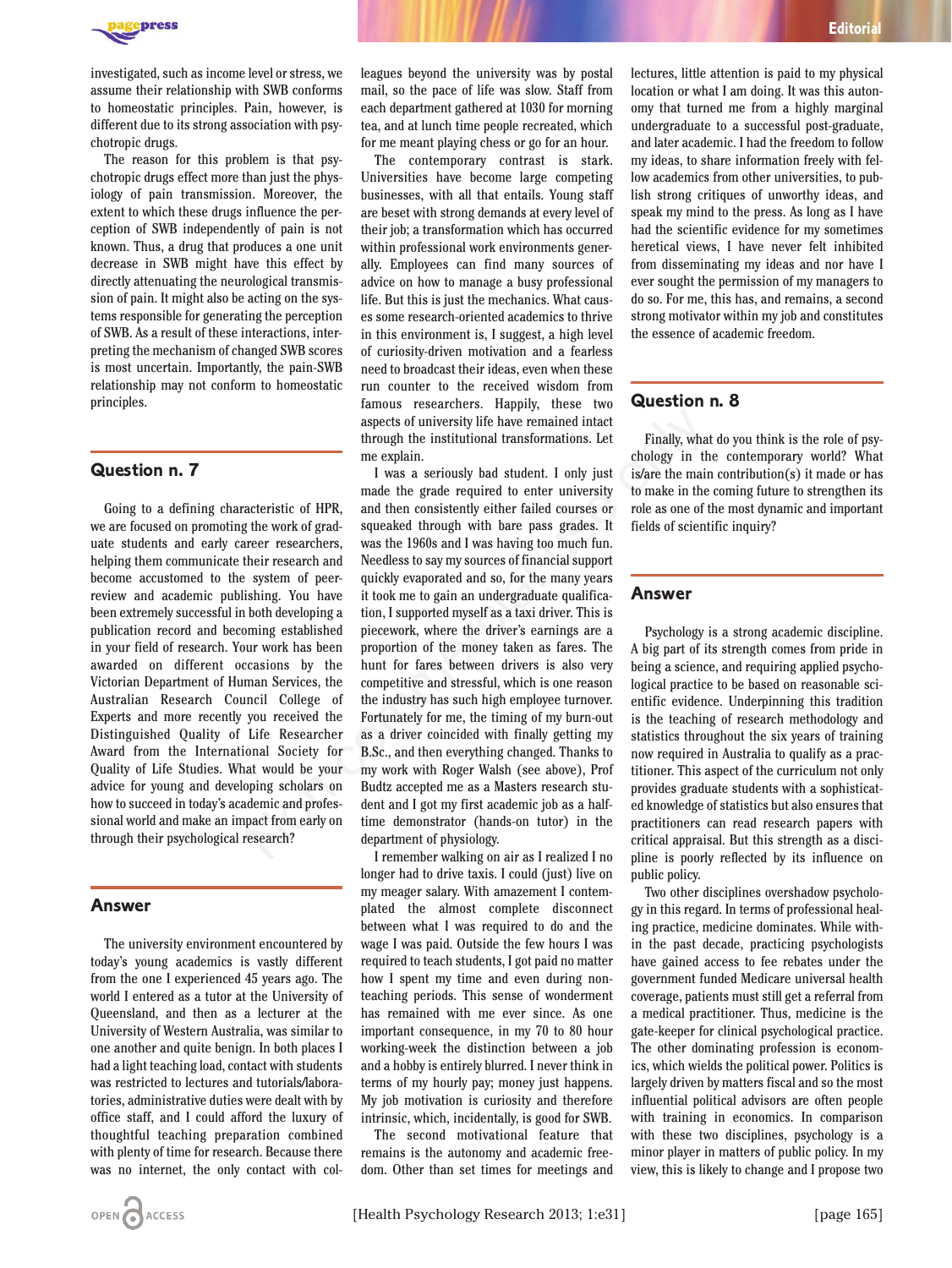

investigated, such as income level or stress, we assume their relationship with SWB conforms to homeostatic principles. Pain, however, is different due to its strong association with psychotropic drugs.

The reason for this problem is that psychotropic drugs effect more than just the physiology of pain transmission. Moreover, the extent to which these drugs influence the perception of SWB independently of pain is not known. Thus, a drug that produces a one unit decrease in SWB might have this effect by directly attenuating the neurological transmission of pain. It might also be acting on the systems responsible for generating the perception of SWB. As a result of these interactions, interpreting the mechanism of changed SWB scores is most uncertain. Importantly, the pain-SWB relationship may not conform to homeostatic principles.

# **Question n. 7**

Going to a defining characteristic of HPR, we are focused on promoting the work of graduate students and early career researchers, helping them communicate their research and become accustomed to the system of peerreview and academic publishing. You have been extremely successful in both developing a publication record and becoming established in your field of research. Your work has been awarded on different occasions by the Victorian Department of Human Services, the Australian Research Council College of Experts and more recently you received the Distinguished Quality of Life Researcher Award from the International Society for Quality of Life Studies. What would be your advice for young and developing scholars on how to succeed in today's academic and professional world and make an impact from early on through their psychological research?

#### **Answer**

The university environment encountered by today's young academics is vastly different from the one I experienced 45 years ago. The world I entered as a tutor at the University of Queensland, and then as a lecturer at the University of Western Australia, was similar to one another and quite benign. In both places I had a light teaching load, contact with students was restricted to lectures and tutorials/laboratories, administrative duties were dealt with by office staff, and I could afford the luxury of thoughtful teaching preparation combined with plenty of time for research. Because there was no internet, the only contact with colleagues beyond the university was by postal mail, so the pace of life was slow. Staff from each department gathered at 1030 for morning tea, and at lunch time people recreated, which for me meant playing chess or go for an hour.

The contemporary contrast is stark. Universities have become large competing businesses, with all that entails. Young staff are beset with strong demands at every level of their job; a transformation which has occurred within professional work environments generally. Employees can find many sources of advice on how to manage a busy professional life. But this is just the mechanics. What causes some research-oriented academics to thrive in this environment is, I suggest, a high level of curiosity-driven motivation and a fearless need to broadcast their ideas, even when these run counter to the received wisdom from famous researchers. Happily, these two aspects of university life have remained intact through the institutional transformations. Let me explain.

I was a seriously bad student. I only just made the grade required to enter university and then consistently either failed courses or squeaked through with bare pass grades. It was the 1960s and I was having too much fun. Needless to say my sources of financial support quickly evaporated and so, for the many years it took me to gain an undergraduate qualification, I supported myself as a taxi driver. This is piecework, where the driver's earnings are a proportion of the money taken as fares. The hunt for fares between drivers is also very competitive and stressful, which is one reason the industry has such high employee turnover. Fortunately for me, the timing of my burn-out as a driver coincided with finally getting my B.Sc., and then everything changed. Thanks to my work with Roger Walsh (see above), Prof Budtz accepted me as a Masters research student and I got my first academic job as a halftime demonstrator (hands-on tutor) in the department of physiology. and the studies are interestinged in the studies and the product of the properties are applainted in the product in the mean of the studies of the studies of the studies of the studies of the studies of the studies of the

I remember walking on air as I realized I no longer had to drive taxis. I could (just) live on my meager salary. With amazement I contemplated the almost complete disconnect between what I was required to do and the wage I was paid. Outside the few hours I was required to teach students, I got paid no matter how I spent my time and even during nonteaching periods. This sense of wonderment has remained with me ever since. As one important consequence, in my 70 to 80 hour working-week the distinction between a job and a hobby is entirely blurred. I never think in terms of my hourly pay; money just happens. My job motivation is curiosity and therefore intrinsic, which, incidentally, is good for SWB.

The second motivational feature that remains is the autonomy and academic freedom. Other than set times for meetings and lectures, little attention is paid to my physical location or what I am doing. It was this autonomy that turned me from a highly marginal undergraduate to a successful post-graduate, and later academic. I had the freedom to follow my ideas, to share information freely with fellow academics from other universities, to publish strong critiques of unworthy ideas, and speak my mind to the press. As long as I have had the scientific evidence for my sometimes heretical views, I have never felt inhibited from disseminating my ideas and nor have I ever sought the permission of my managers to do so. For me, this has, and remains, a second strong motivator within my job and constitutes the essence of academic freedom.

#### **Question n. 8**

Finally, what do you think is the role of psychology in the contemporary world? What is/are the main contribution(s) it made or has to make in the coming future to strengthen its role as one of the most dynamic and important fields of scientific inquiry?

#### **Answer**

Psychology is a strong academic discipline. A big part of its strength comes from pride in being a science, and requiring applied psychological practice to be based on reasonable scientific evidence. Underpinning this tradition is the teaching of research methodology and statistics throughout the six years of training now required in Australia to qualify as a practitioner. This aspect of the curriculum not only provides graduate students with a sophisticated knowledge of statistics but also ensures that practitioners can read research papers with critical appraisal. But this strength as a discipline is poorly reflected by its influence on public policy.

Two other disciplines overshadow psychology in this regard. In terms of professional healing practice, medicine dominates. While within the past decade, practicing psychologists have gained access to fee rebates under the government funded Medicare universal health coverage, patients must still get a referral from a medical practitioner. Thus, medicine is the gate-keeper for clinical psychological practice. The other dominating profession is economics, which wields the political power. Politics is largely driven by matters fiscal and so the most influential political advisors are often people with training in economics. In comparison with these two disciplines, psychology is a minor player in matters of public policy. In my view, this is likely to change and I propose two